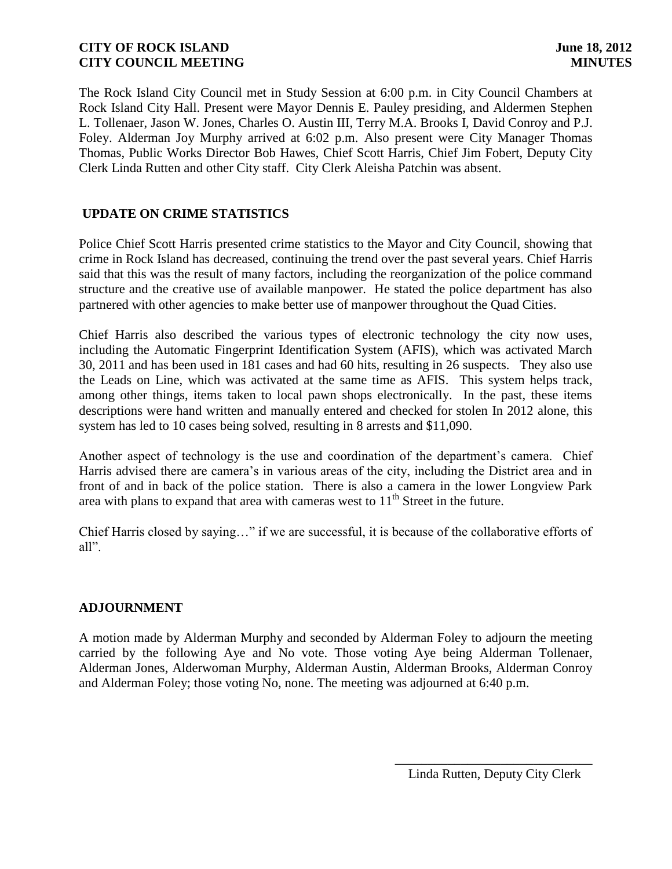The Rock Island City Council met in Study Session at 6:00 p.m. in City Council Chambers at Rock Island City Hall. Present were Mayor Dennis E. Pauley presiding, and Aldermen Stephen L. Tollenaer, Jason W. Jones, Charles O. Austin III, Terry M.A. Brooks I, David Conroy and P.J. Foley. Alderman Joy Murphy arrived at 6:02 p.m. Also present were City Manager Thomas Thomas, Public Works Director Bob Hawes, Chief Scott Harris, Chief Jim Fobert, Deputy City Clerk Linda Rutten and other City staff. City Clerk Aleisha Patchin was absent.

# **UPDATE ON CRIME STATISTICS**

Police Chief Scott Harris presented crime statistics to the Mayor and City Council, showing that crime in Rock Island has decreased, continuing the trend over the past several years. Chief Harris said that this was the result of many factors, including the reorganization of the police command structure and the creative use of available manpower. He stated the police department has also partnered with other agencies to make better use of manpower throughout the Quad Cities.

Chief Harris also described the various types of electronic technology the city now uses, including the Automatic Fingerprint Identification System (AFIS), which was activated March 30, 2011 and has been used in 181 cases and had 60 hits, resulting in 26 suspects. They also use the Leads on Line, which was activated at the same time as AFIS. This system helps track, among other things, items taken to local pawn shops electronically. In the past, these items descriptions were hand written and manually entered and checked for stolen In 2012 alone, this system has led to 10 cases being solved, resulting in 8 arrests and \$11,090.

Another aspect of technology is the use and coordination of the department's camera. Chief Harris advised there are camera's in various areas of the city, including the District area and in front of and in back of the police station. There is also a camera in the lower Longview Park area with plans to expand that area with cameras west to  $11<sup>th</sup>$  Street in the future.

Chief Harris closed by saying…" if we are successful, it is because of the collaborative efforts of all".

# **ADJOURNMENT**

A motion made by Alderman Murphy and seconded by Alderman Foley to adjourn the meeting carried by the following Aye and No vote. Those voting Aye being Alderman Tollenaer, Alderman Jones, Alderwoman Murphy, Alderman Austin, Alderman Brooks, Alderman Conroy and Alderman Foley; those voting No, none. The meeting was adjourned at 6:40 p.m.

\_\_\_\_\_\_\_\_\_\_\_\_\_\_\_\_\_\_\_\_\_\_\_\_\_\_\_\_\_\_ Linda Rutten, Deputy City Clerk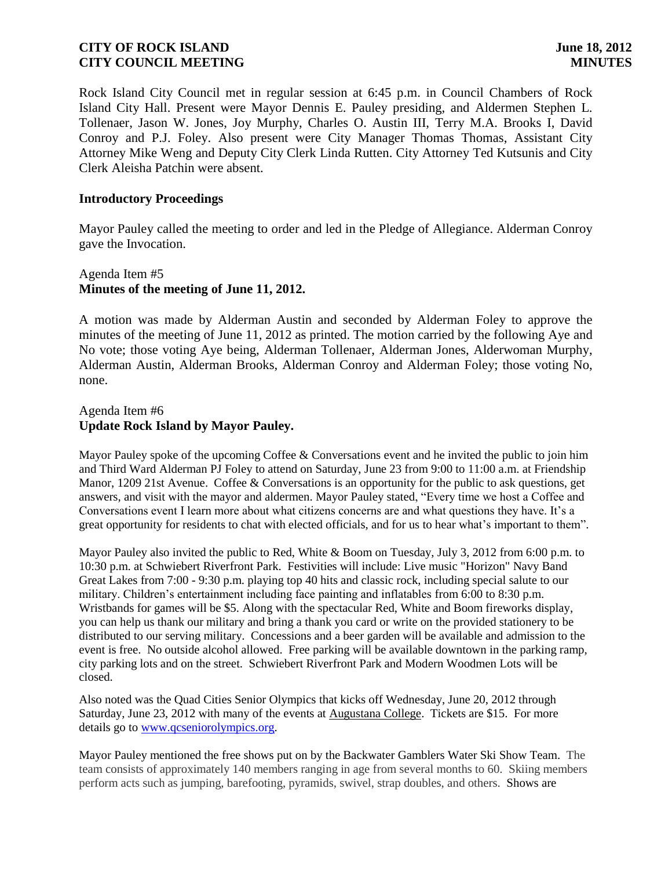Rock Island City Council met in regular session at 6:45 p.m. in Council Chambers of Rock Island City Hall. Present were Mayor Dennis E. Pauley presiding, and Aldermen Stephen L. Tollenaer, Jason W. Jones, Joy Murphy, Charles O. Austin III, Terry M.A. Brooks I, David Conroy and P.J. Foley. Also present were City Manager Thomas Thomas, Assistant City Attorney Mike Weng and Deputy City Clerk Linda Rutten. City Attorney Ted Kutsunis and City Clerk Aleisha Patchin were absent.

#### **Introductory Proceedings**

Mayor Pauley called the meeting to order and led in the Pledge of Allegiance. Alderman Conroy gave the Invocation.

# Agenda Item #5 **Minutes of the meeting of June 11, 2012.**

A motion was made by Alderman Austin and seconded by Alderman Foley to approve the minutes of the meeting of June 11, 2012 as printed. The motion carried by the following Aye and No vote; those voting Aye being, Alderman Tollenaer, Alderman Jones, Alderwoman Murphy, Alderman Austin, Alderman Brooks, Alderman Conroy and Alderman Foley; those voting No, none.

## Agenda Item #6 **Update Rock Island by Mayor Pauley.**

Mayor Pauley spoke of the upcoming Coffee & Conversations event and he invited the public to join him and Third Ward Alderman PJ Foley to attend on Saturday, June 23 from 9:00 to 11:00 a.m. at Friendship Manor, 1209 21st Avenue. Coffee & Conversations is an opportunity for the public to ask questions, get answers, and visit with the mayor and aldermen. Mayor Pauley stated, "Every time we host a Coffee and Conversations event I learn more about what citizens concerns are and what questions they have. It's a great opportunity for residents to chat with elected officials, and for us to hear what's important to them".

Mayor Pauley also invited the public to [Red, White & Boom](http://www.ridistrict.com/Events/Events/Red-White---Boom.aspx) on Tuesday, July 3, 2012 from 6:00 p.m. to 10:30 p.m. at Schwiebert Riverfront Park. Festivities will include: Live music "Horizon" Navy Band Great Lakes from 7:00 - 9:30 p.m. playing top 40 hits and classic rock, including special salute to our military. Children's entertainment including face painting and inflatables from 6:00 to 8:30 p.m. Wristbands for games will be \$5. Along with the spectacular Red, White and Boom fireworks display, you can help us thank our military and bring a thank you card or write on the provided stationery to be distributed to our serving military. Concessions and a beer garden will be available and admission to the event is free. No outside alcohol allowed. Free parking will be available downtown in the parking ramp, city parking lots and on the street. Schwiebert Riverfront Park and Modern Woodmen Lots will be closed.

Also noted was the Quad Cities Senior Olympics that kicks off Wednesday, June 20, 2012 through Saturday, June 23, 2012 with many of the events at [Augustana College.](http://r20.rs6.net/tn.jsp?e=001cfdDmZHZflrYPMXlNHNGZTo0BeOBTltENjdITZU8zUYQnLzDmPt-N8oMpXAoYgsMkATo5AJzhOLwsRvRnmlwZ57_Payf9gO3PSWKlmr-b5Ep4dUha6pHrw==) Tickets are \$15. For more details go to [www.qcseniorolympics.org.](http://www.qcseniorolympics.org/)

Mayor Pauley mentioned the free shows put on by the Backwater Gamblers Water Ski Show Team. The team consists of approximately 140 members ranging in age from several months to 60. Skiing members perform acts such as jumping, barefooting, pyramids, swivel, strap doubles, and others. Shows are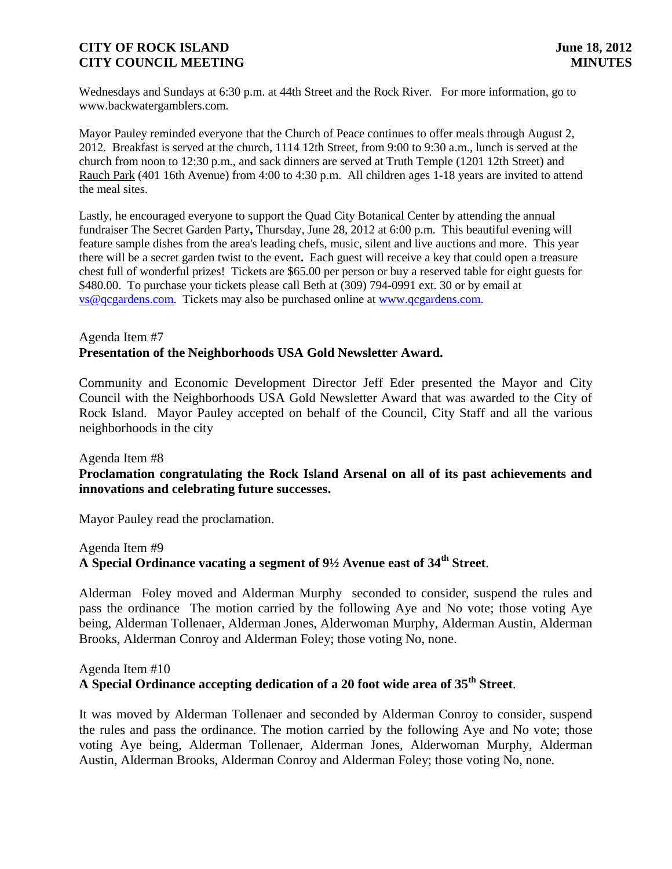Wednesdays and Sundays at 6:30 p.m. at 44th Street and the Rock River. For more information, go to www.backwatergamblers.com.

Mayor Pauley reminded everyone that the Church of Peace continues to offer meals through August 2, 2012. Breakfast is served at the church, 1114 12th Street, from 9:00 to 9:30 a.m., lunch is served at the church from noon to 12:30 p.m., and sack dinners are served at Truth Temple (1201 12th Street) and [Rauch Park](http://r20.rs6.net/tn.jsp?e=001cfdDmZHZflo1O_d6hQe9NPj-kX767cSiewyHvfIPO2vTfsM6WOFQu2c02Yg2zFUyUcV0d1cpg0QZzPiBB_IUIZbzcpjYjU3uKrrZrsXybsrfLeZtJi_SR8jEW9gHHycuQTRQ4rbhaqpWPDO7Zwi83R4Dpd7SeXKvlJou4Oi-Ubo=) (401 16th Avenue) from 4:00 to 4:30 p.m. All children ages 1-18 years are invited to attend the meal sites.

Lastly, he encouraged everyone to support the Quad City Botanical Center by attending the annual fundraiser The Secret Garden Party**,** Thursday, June 28, 2012 at 6:00 p.m. This beautiful evening will feature sample dishes from the area's leading chefs, music, silent and live auctions and more. This year there will be a secret garden twist to the event**.** Each guest will receive a key that could open a treasure chest full of wonderful prizes! Tickets are \$65.00 per person or buy a reserved table for eight guests for \$480.00. To purchase your tickets please call Beth at (309) 794-0991 ext. 30 or by email at [vs@qcgardens.com.](mailto:vs@qcgardens.com) Tickets may also be purchased online at [www.qcgardens.com.](http://r20.rs6.net/tn.jsp?e=001bF4nTgAiom4pKI2tlHeYHLTOkBkcvMYvwdPh0isRbAcgAyZafVZ9BgAmSwA1DgHL9ou6PGJkqdajpqU3a5YtILMPLcre9yfyRxAgbHIRqfvdG4cy8X_ItQ==)

# Agenda Item #7 **Presentation of the Neighborhoods USA Gold Newsletter Award.**

Community and Economic Development Director Jeff Eder presented the Mayor and City Council with the Neighborhoods USA Gold Newsletter Award that was awarded to the City of Rock Island. Mayor Pauley accepted on behalf of the Council, City Staff and all the various neighborhoods in the city

## Agenda Item #8

# **Proclamation congratulating the Rock Island Arsenal on all of its past achievements and innovations and celebrating future successes.**

Mayor Pauley read the proclamation.

Agenda Item #9

# **A Special Ordinance vacating a segment of 9½ Avenue east of 34th Street**.

Alderman Foley moved and Alderman Murphy seconded to consider, suspend the rules and pass the ordinance The motion carried by the following Aye and No vote; those voting Aye being, Alderman Tollenaer, Alderman Jones, Alderwoman Murphy, Alderman Austin, Alderman Brooks, Alderman Conroy and Alderman Foley; those voting No, none.

## Agenda Item #10

# **A Special Ordinance accepting dedication of a 20 foot wide area of 35th Street**.

It was moved by Alderman Tollenaer and seconded by Alderman Conroy to consider, suspend the rules and pass the ordinance. The motion carried by the following Aye and No vote; those voting Aye being, Alderman Tollenaer, Alderman Jones, Alderwoman Murphy, Alderman Austin, Alderman Brooks, Alderman Conroy and Alderman Foley; those voting No, none.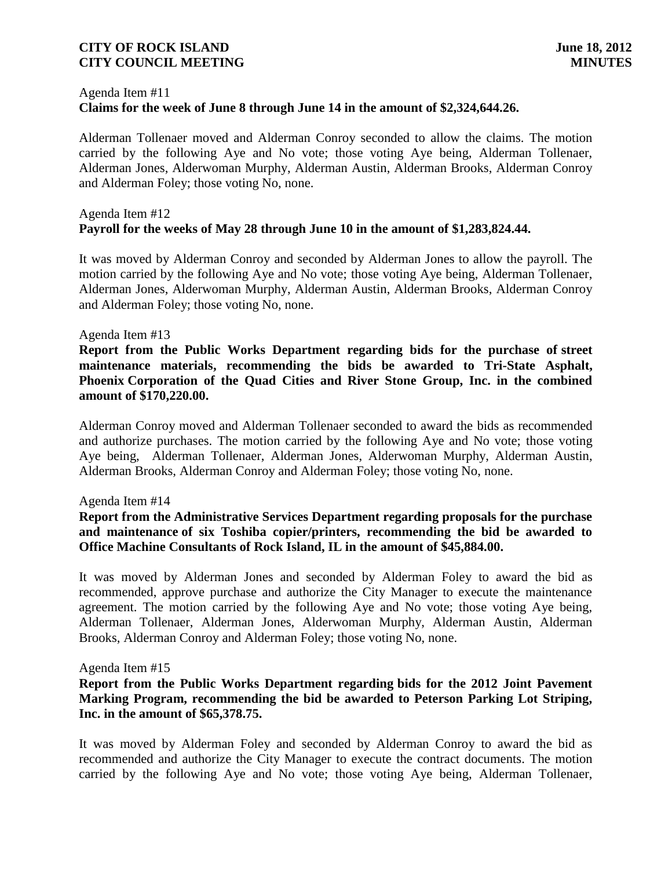#### Agenda Item #11

# **Claims for the week of June 8 through June 14 in the amount of \$2,324,644.26.**

Alderman Tollenaer moved and Alderman Conroy seconded to allow the claims. The motion carried by the following Aye and No vote; those voting Aye being, Alderman Tollenaer, Alderman Jones, Alderwoman Murphy, Alderman Austin, Alderman Brooks, Alderman Conroy and Alderman Foley; those voting No, none.

## Agenda Item #12 **Payroll for the weeks of May 28 through June 10 in the amount of \$1,283,824.44.**

It was moved by Alderman Conroy and seconded by Alderman Jones to allow the payroll. The motion carried by the following Aye and No vote; those voting Aye being, Alderman Tollenaer, Alderman Jones, Alderwoman Murphy, Alderman Austin, Alderman Brooks, Alderman Conroy and Alderman Foley; those voting No, none.

#### Agenda Item #13

**Report from the Public Works Department regarding bids for the purchase of street maintenance materials, recommending the bids be awarded to Tri-State Asphalt, Phoenix Corporation of the Quad Cities and River Stone Group, Inc. in the combined amount of \$170,220.00.**

Alderman Conroy moved and Alderman Tollenaer seconded to award the bids as recommended and authorize purchases. The motion carried by the following Aye and No vote; those voting Aye being, Alderman Tollenaer, Alderman Jones, Alderwoman Murphy, Alderman Austin, Alderman Brooks, Alderman Conroy and Alderman Foley; those voting No, none.

#### Agenda Item #14

# **Report from the Administrative Services Department regarding proposals for the purchase and maintenance of six Toshiba copier/printers, recommending the bid be awarded to Office Machine Consultants of Rock Island, IL in the amount of \$45,884.00.**

It was moved by Alderman Jones and seconded by Alderman Foley to award the bid as recommended, approve purchase and authorize the City Manager to execute the maintenance agreement. The motion carried by the following Aye and No vote; those voting Aye being, Alderman Tollenaer, Alderman Jones, Alderwoman Murphy, Alderman Austin, Alderman Brooks, Alderman Conroy and Alderman Foley; those voting No, none.

#### Agenda Item #15

## **Report from the Public Works Department regarding bids for the 2012 Joint Pavement Marking Program, recommending the bid be awarded to Peterson Parking Lot Striping, Inc. in the amount of \$65,378.75.**

It was moved by Alderman Foley and seconded by Alderman Conroy to award the bid as recommended and authorize the City Manager to execute the contract documents. The motion carried by the following Aye and No vote; those voting Aye being, Alderman Tollenaer,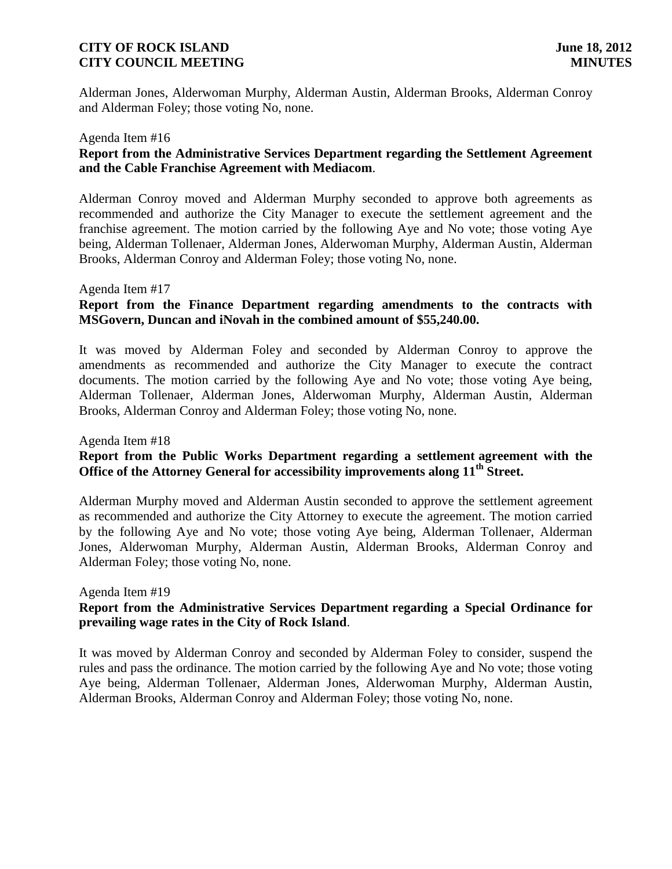Alderman Jones, Alderwoman Murphy, Alderman Austin, Alderman Brooks, Alderman Conroy and Alderman Foley; those voting No, none.

#### Agenda Item #16

# **Report from the Administrative Services Department regarding the Settlement Agreement and the Cable Franchise Agreement with Mediacom**.

Alderman Conroy moved and Alderman Murphy seconded to approve both agreements as recommended and authorize the City Manager to execute the settlement agreement and the franchise agreement. The motion carried by the following Aye and No vote; those voting Aye being, Alderman Tollenaer, Alderman Jones, Alderwoman Murphy, Alderman Austin, Alderman Brooks, Alderman Conroy and Alderman Foley; those voting No, none.

#### Agenda Item #17

# **Report from the Finance Department regarding amendments to the contracts with MSGovern, Duncan and iNovah in the combined amount of \$55,240.00.**

It was moved by Alderman Foley and seconded by Alderman Conroy to approve the amendments as recommended and authorize the City Manager to execute the contract documents. The motion carried by the following Aye and No vote; those voting Aye being, Alderman Tollenaer, Alderman Jones, Alderwoman Murphy, Alderman Austin, Alderman Brooks, Alderman Conroy and Alderman Foley; those voting No, none.

#### Agenda Item #18

# **Report from the Public Works Department regarding a settlement agreement with the Office of the Attorney General for accessibility improvements along 11th Street.**

Alderman Murphy moved and Alderman Austin seconded to approve the settlement agreement as recommended and authorize the City Attorney to execute the agreement. The motion carried by the following Aye and No vote; those voting Aye being, Alderman Tollenaer, Alderman Jones, Alderwoman Murphy, Alderman Austin, Alderman Brooks, Alderman Conroy and Alderman Foley; those voting No, none.

#### Agenda Item #19

# **Report from the Administrative Services Department regarding a Special Ordinance for prevailing wage rates in the City of Rock Island**.

It was moved by Alderman Conroy and seconded by Alderman Foley to consider, suspend the rules and pass the ordinance. The motion carried by the following Aye and No vote; those voting Aye being, Alderman Tollenaer, Alderman Jones, Alderwoman Murphy, Alderman Austin, Alderman Brooks, Alderman Conroy and Alderman Foley; those voting No, none.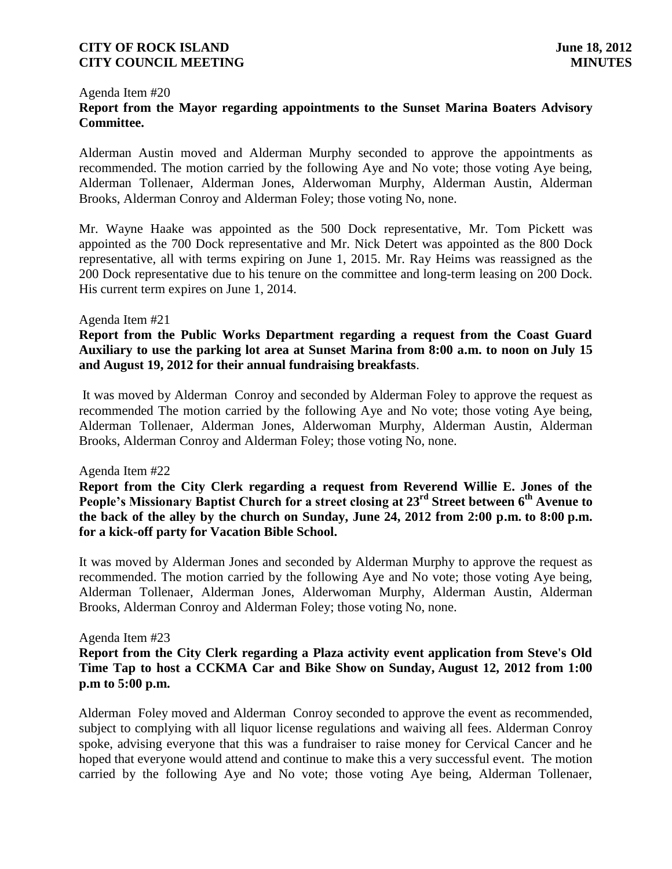#### Agenda Item #20 **Report from the Mayor regarding appointments to the Sunset Marina Boaters Advisory Committee.**

Alderman Austin moved and Alderman Murphy seconded to approve the appointments as recommended. The motion carried by the following Aye and No vote; those voting Aye being, Alderman Tollenaer, Alderman Jones, Alderwoman Murphy, Alderman Austin, Alderman Brooks, Alderman Conroy and Alderman Foley; those voting No, none.

Mr. Wayne Haake was appointed as the 500 Dock representative, Mr. Tom Pickett was appointed as the 700 Dock representative and Mr. Nick Detert was appointed as the 800 Dock representative, all with terms expiring on June 1, 2015. Mr. Ray Heims was reassigned as the 200 Dock representative due to his tenure on the committee and long-term leasing on 200 Dock. His current term expires on June 1, 2014.

#### Agenda Item #21

**Report from the Public Works Department regarding a request from the Coast Guard Auxiliary to use the parking lot area at Sunset Marina from 8:00 a.m. to noon on July 15 and August 19, 2012 for their annual fundraising breakfasts**.

It was moved by Alderman Conroy and seconded by Alderman Foley to approve the request as recommended The motion carried by the following Aye and No vote; those voting Aye being, Alderman Tollenaer, Alderman Jones, Alderwoman Murphy, Alderman Austin, Alderman Brooks, Alderman Conroy and Alderman Foley; those voting No, none.

#### Agenda Item #22

 **Report from the City Clerk regarding a request from Reverend Willie E. Jones of the People's Missionary Baptist Church for a street closing at 23rd Street between 6th Avenue to the back of the alley by the church on Sunday, June 24, 2012 from 2:00 p.m. to 8:00 p.m. for a kick-off party for Vacation Bible School.**

It was moved by Alderman Jones and seconded by Alderman Murphy to approve the request as recommended. The motion carried by the following Aye and No vote; those voting Aye being, Alderman Tollenaer, Alderman Jones, Alderwoman Murphy, Alderman Austin, Alderman Brooks, Alderman Conroy and Alderman Foley; those voting No, none.

## Agenda Item #23

# **Report from the City Clerk regarding a Plaza activity event application from Steve's Old Time Tap to host a CCKMA Car and Bike Show on Sunday, August 12, 2012 from 1:00 p.m to 5:00 p.m.**

 Alderman Foley moved and Alderman Conroy seconded to approve the event as recommended, subject to complying with all liquor license regulations and waiving all fees. Alderman Conroy spoke, advising everyone that this was a fundraiser to raise money for Cervical Cancer and he hoped that everyone would attend and continue to make this a very successful event. The motion carried by the following Aye and No vote; those voting Aye being, Alderman Tollenaer,